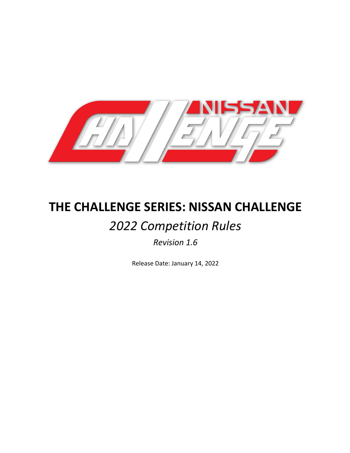

# **THE CHALLENGE SERIES: NISSAN CHALLENGE**

# *2022 Competition Rules*

# *Revision 1.6*

Release Date: January 14, 2022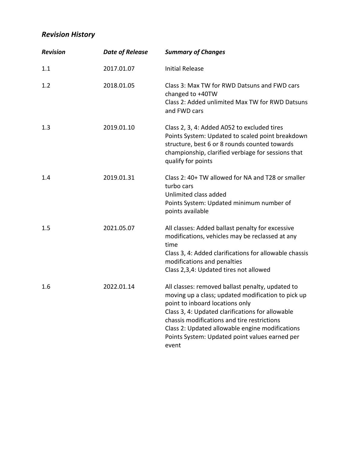# *Revision History*

| <b>Revision</b> | <b>Date of Release</b> | <b>Summary of Changes</b>                                                                                                                                                                                                                                                                                                                                  |
|-----------------|------------------------|------------------------------------------------------------------------------------------------------------------------------------------------------------------------------------------------------------------------------------------------------------------------------------------------------------------------------------------------------------|
| 1.1             | 2017.01.07             | <b>Initial Release</b>                                                                                                                                                                                                                                                                                                                                     |
| 1.2             | 2018.01.05             | Class 3: Max TW for RWD Datsuns and FWD cars<br>changed to +40TW<br>Class 2: Added unlimited Max TW for RWD Datsuns<br>and FWD cars                                                                                                                                                                                                                        |
| 1.3             | 2019.01.10             | Class 2, 3, 4: Added A052 to excluded tires<br>Points System: Updated to scaled point breakdown<br>structure, best 6 or 8 rounds counted towards<br>championship, clarified verbiage for sessions that<br>qualify for points                                                                                                                               |
| 1.4             | 2019.01.31             | Class 2: 40+ TW allowed for NA and T28 or smaller<br>turbo cars<br>Unlimited class added<br>Points System: Updated minimum number of<br>points available                                                                                                                                                                                                   |
| 1.5             | 2021.05.07             | All classes: Added ballast penalty for excessive<br>modifications, vehicles may be reclassed at any<br>time<br>Class 3, 4: Added clarifications for allowable chassis<br>modifications and penalties<br>Class 2,3,4: Updated tires not allowed                                                                                                             |
| 1.6             | 2022.01.14             | All classes: removed ballast penalty, updated to<br>moving up a class; updated modification to pick up<br>point to inboard locations only<br>Class 3, 4: Updated clarifications for allowable<br>chassis modifications and tire restrictions<br>Class 2: Updated allowable engine modifications<br>Points System: Updated point values earned per<br>event |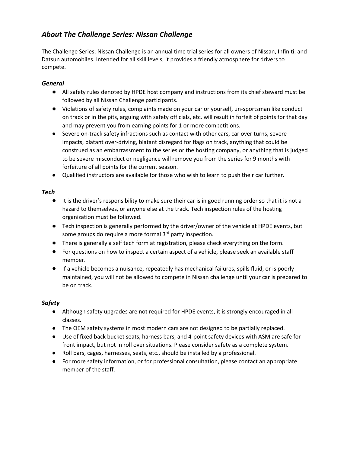# *About The Challenge Series: Nissan Challenge*

The Challenge Series: Nissan Challenge is an annual time trial series for all owners of Nissan, Infiniti, and Datsun automobiles. Intended for all skill levels, it provides a friendly atmosphere for drivers to compete.

## *General*

- All safety rules denoted by HPDE host company and instructions from its chief steward must be followed by all Nissan Challenge participants.
- Violations of safety rules, complaints made on your car or yourself, un-sportsman like conduct on track or in the pits, arguing with safety officials, etc. will result in forfeit of points for that day and may prevent you from earning points for 1 or more competitions.
- Severe on-track safety infractions such as contact with other cars, car over turns, severe impacts, blatant over-driving, blatant disregard for flags on track, anything that could be construed as an embarrassment to the series or the hosting company, or anything that is judged to be severe misconduct or negligence will remove you from the series for 9 months with forfeiture of all points for the current season.
- Qualified instructors are available for those who wish to learn to push their car further.

## *Tech*

- It is the driver's responsibility to make sure their car is in good running order so that it is not a hazard to themselves, or anyone else at the track. Tech inspection rules of the hosting organization must be followed.
- Tech inspection is generally performed by the driver/owner of the vehicle at HPDE events, but some groups do require a more formal 3<sup>rd</sup> party inspection.
- There is generally a self tech form at registration, please check everything on the form.
- For questions on how to inspect a certain aspect of a vehicle, please seek an available staff member.
- If a vehicle becomes a nuisance, repeatedly has mechanical failures, spills fluid, or is poorly maintained, you will not be allowed to compete in Nissan challenge until your car is prepared to be on track.

## *Safety*

- Although safety upgrades are not required for HPDE events, it is strongly encouraged in all classes.
- The OEM safety systems in most modern cars are not designed to be partially replaced.
- Use of fixed back bucket seats, harness bars, and 4-point safety devices with ASM are safe for front impact, but not in roll over situations. Please consider safety as a complete system.
- Roll bars, cages, harnesses, seats, etc., should be installed by a professional.
- For more safety information, or for professional consultation, please contact an appropriate member of the staff.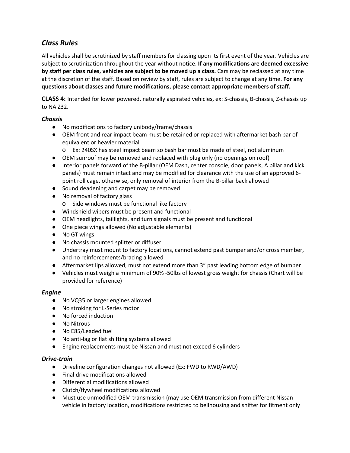# *Class Rules*

All vehicles shall be scrutinized by staff members for classing upon its first event of the year. Vehicles are subject to scrutinization throughout the year without notice. **If any modifications are deemed excessive by staff per class rules, vehicles are subject to be moved up a class.** Cars may be reclassed at any time at the discretion of the staff. Based on review by staff, rules are subject to change at any time. **For any questions about classes and future modifications, please contact appropriate members of staff.** 

**CLASS 4:** Intended for lower powered, naturally aspirated vehicles, ex: S-chassis, B-chassis, Z-chassis up to NA Z32.

## *Chassis*

- No modifications to factory unibody/frame/chassis
- OEM front and rear impact beam must be retained or replaced with aftermarket bash bar of equivalent or heavier material
	- o Ex: 240SX has steel impact beam so bash bar must be made of steel, not aluminum
- OEM sunroof may be removed and replaced with plug only (no openings on roof)
- Interior panels forward of the B-pillar (OEM Dash, center console, door panels, A pillar and kick panels) must remain intact and may be modified for clearance with the use of an approved 6 point roll cage, otherwise, only removal of interior from the B-pillar back allowed
- Sound deadening and carpet may be removed
- No removal of factory glass
	- o Side windows must be functional like factory
- Windshield wipers must be present and functional
- OEM headlights, taillights, and turn signals must be present and functional
- One piece wings allowed (No adjustable elements)
- No GT wings
- No chassis mounted splitter or diffuser
- Undertray must mount to factory locations, cannot extend past bumper and/or cross member, and no reinforcements/bracing allowed
- Aftermarket lips allowed, must not extend more than 3" past leading bottom edge of bumper
- Vehicles must weigh a minimum of 90% -50lbs of lowest gross weight for chassis (Chart will be provided for reference)

#### *Engine*

- No VQ35 or larger engines allowed
- No stroking for L-Series motor
- No forced induction
- No Nitrous
- No E85/Leaded fuel
- No anti-lag or flat shifting systems allowed
- Engine replacements must be Nissan and must not exceed 6 cylinders

#### *Drive-train*

- Driveline configuration changes not allowed (Ex: FWD to RWD/AWD)
- Final drive modifications allowed
- Differential modifications allowed
- Clutch/flywheel modifications allowed
- Must use unmodified OEM transmission (may use OEM transmission from different Nissan vehicle in factory location, modifications restricted to bellhousing and shifter for fitment only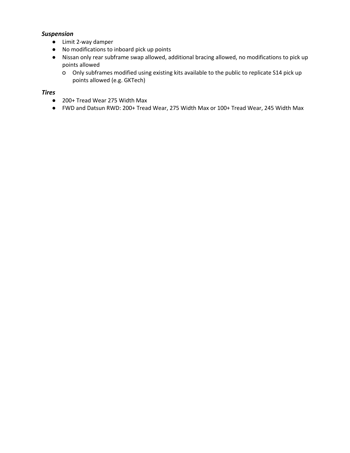#### *Suspension*

- Limit 2-way damper
- No modifications to inboard pick up points
- Nissan only rear subframe swap allowed, additional bracing allowed, no modifications to pick up points allowed
	- o Only subframes modified using existing kits available to the public to replicate S14 pick up points allowed (e.g. GKTech)

#### *Tires*

- 200+ Tread Wear 275 Width Max
- FWD and Datsun RWD: 200+ Tread Wear, 275 Width Max or 100+ Tread Wear, 245 Width Max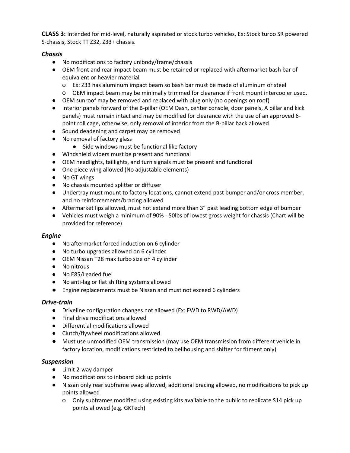**CLASS 3:** Intended for mid-level, naturally aspirated or stock turbo vehicles, Ex: Stock turbo SR powered S-chassis, Stock TT Z32, Z33+ chassis.

### *Chassis*

- No modifications to factory unibody/frame/chassis
- OEM front and rear impact beam must be retained or replaced with aftermarket bash bar of equivalent or heavier material
	- o Ex: Z33 has aluminum impact beam so bash bar must be made of aluminum or steel
	- o OEM impact beam may be minimally trimmed for clearance if front mount intercooler used.
- OEM sunroof may be removed and replaced with plug only (no openings on roof)
- Interior panels forward of the B-pillar (OEM Dash, center console, door panels, A pillar and kick panels) must remain intact and may be modified for clearance with the use of an approved 6 point roll cage, otherwise, only removal of interior from the B-pillar back allowed
- Sound deadening and carpet may be removed
- No removal of factory glass
	- Side windows must be functional like factory
- Windshield wipers must be present and functional
- OEM headlights, taillights, and turn signals must be present and functional
- One piece wing allowed (No adjustable elements)
- No GT wings
- No chassis mounted splitter or diffuser
- Undertray must mount to factory locations, cannot extend past bumper and/or cross member, and no reinforcements/bracing allowed
- Aftermarket lips allowed, must not extend more than 3" past leading bottom edge of bumper
- Vehicles must weigh a minimum of 90% 50lbs of lowest gross weight for chassis (Chart will be provided for reference)

#### *Engine*

- No aftermarket forced induction on 6 cylinder
- No turbo upgrades allowed on 6 cylinder
- OEM Nissan T28 max turbo size on 4 cylinder
- No nitrous
- No E85/Leaded fuel
- No anti-lag or flat shifting systems allowed
- Engine replacements must be Nissan and must not exceed 6 cylinders

#### *Drive-train*

- Driveline configuration changes not allowed (Ex: FWD to RWD/AWD)
- Final drive modifications allowed
- Differential modifications allowed
- Clutch/flywheel modifications allowed
- Must use unmodified OEM transmission (may use OEM transmission from different vehicle in factory location, modifications restricted to bellhousing and shifter for fitment only)

## *Suspension*

- Limit 2-way damper
- No modifications to inboard pick up points
- Nissan only rear subframe swap allowed, additional bracing allowed, no modifications to pick up points allowed
	- o Only subframes modified using existing kits available to the public to replicate S14 pick up points allowed (e.g. GKTech)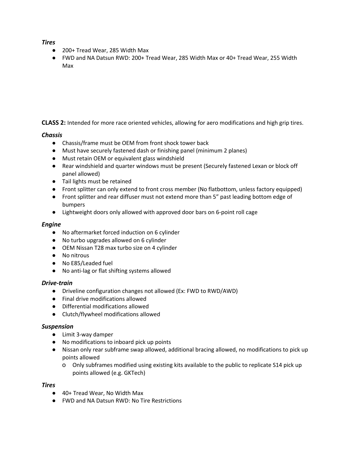#### *Tires*

- 200+ Tread Wear, 285 Width Max
- FWD and NA Datsun RWD: 200+ Tread Wear, 285 Width Max or 40+ Tread Wear, 255 Width Max

**CLASS 2:** Intended for more race oriented vehicles, allowing for aero modifications and high grip tires.

#### *Chassis*

- Chassis/frame must be OEM from front shock tower back
- Must have securely fastened dash or finishing panel (minimum 2 planes)
- Must retain OEM or equivalent glass windshield
- Rear windshield and quarter windows must be present (Securely fastened Lexan or block off panel allowed)
- Tail lights must be retained
- Front splitter can only extend to front cross member (No flatbottom, unless factory equipped)
- Front splitter and rear diffuser must not extend more than 5" past leading bottom edge of bumpers
- Lightweight doors only allowed with approved door bars on 6-point roll cage

#### *Engine*

- No aftermarket forced induction on 6 cylinder
- No turbo upgrades allowed on 6 cylinder
- OEM Nissan T28 max turbo size on 4 cylinder
- No nitrous
- No E85/Leaded fuel
- No anti-lag or flat shifting systems allowed

#### *Drive-train*

- Driveline configuration changes not allowed (Ex: FWD to RWD/AWD)
- Final drive modifications allowed
- Differential modifications allowed
- Clutch/flywheel modifications allowed

#### *Suspension*

- Limit 3-way damper
- No modifications to inboard pick up points
- Nissan only rear subframe swap allowed, additional bracing allowed, no modifications to pick up points allowed
	- o Only subframes modified using existing kits available to the public to replicate S14 pick up points allowed (e.g. GKTech)

#### *Tires*

- 40+ Tread Wear, No Width Max
- FWD and NA Datsun RWD: No Tire Restrictions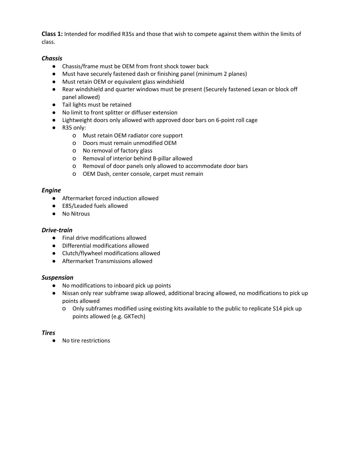**Class 1:** Intended for modified R35s and those that wish to compete against them within the limits of class.

#### *Chassis*

- Chassis/frame must be OEM from front shock tower back
- Must have securely fastened dash or finishing panel (minimum 2 planes)
- Must retain OEM or equivalent glass windshield
- Rear windshield and quarter windows must be present (Securely fastened Lexan or block off panel allowed)
- Tail lights must be retained
- No limit to front splitter or diffuser extension
- Lightweight doors only allowed with approved door bars on 6-point roll cage
- R35 only:
	- o Must retain OEM radiator core support
	- o Doors must remain unmodified OEM
	- o No removal of factory glass
	- o Removal of interior behind B-pillar allowed
	- o Removal of door panels only allowed to accommodate door bars
	- o OEM Dash, center console, carpet must remain

#### *Engine*

- Aftermarket forced induction allowed
- E85/Leaded fuels allowed
- No Nitrous

#### *Drive-train*

- Final drive modifications allowed
- Differential modifications allowed
- Clutch/flywheel modifications allowed
- Aftermarket Transmissions allowed

#### *Suspension*

- No modifications to inboard pick up points
- Nissan only rear subframe swap allowed, additional bracing allowed, no modifications to pick up points allowed
	- o Only subframes modified using existing kits available to the public to replicate S14 pick up points allowed (e.g. GKTech)

#### *Tires*

● No tire restrictions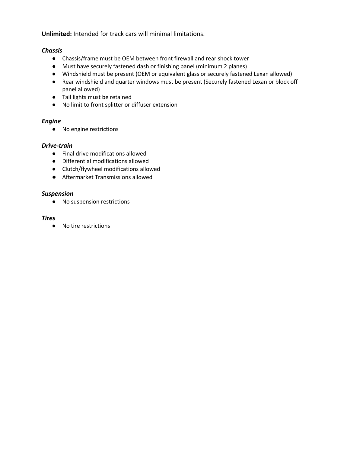**Unlimited:** Intended for track cars will minimal limitations.

#### *Chassis*

- Chassis/frame must be OEM between front firewall and rear shock tower
- Must have securely fastened dash or finishing panel (minimum 2 planes)
- Windshield must be present (OEM or equivalent glass or securely fastened Lexan allowed)
- Rear windshield and quarter windows must be present (Securely fastened Lexan or block off panel allowed)
- Tail lights must be retained
- No limit to front splitter or diffuser extension

#### *Engine*

● No engine restrictions

#### *Drive-train*

- Final drive modifications allowed
- Differential modifications allowed
- Clutch/flywheel modifications allowed
- Aftermarket Transmissions allowed

#### *Suspension*

● No suspension restrictions

#### *Tires*

● No tire restrictions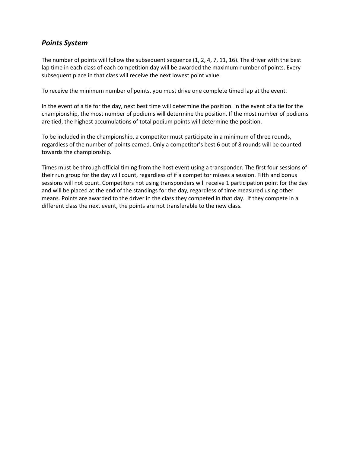## *Points System*

The number of points will follow the subsequent sequence (1, 2, 4, 7, 11, 16). The driver with the best lap time in each class of each competition day will be awarded the maximum number of points. Every subsequent place in that class will receive the next lowest point value.

To receive the minimum number of points, you must drive one complete timed lap at the event.

In the event of a tie for the day, next best time will determine the position. In the event of a tie for the championship, the most number of podiums will determine the position. If the most number of podiums are tied, the highest accumulations of total podium points will determine the position.

To be included in the championship, a competitor must participate in a minimum of three rounds, regardless of the number of points earned. Only a competitor's best 6 out of 8 rounds will be counted towards the championship.

Times must be through official timing from the host event using a transponder. The first four sessions of their run group for the day will count, regardless of if a competitor misses a session. Fifth and bonus sessions will not count. Competitors not using transponders will receive 1 participation point for the day and will be placed at the end of the standings for the day, regardless of time measured using other means. Points are awarded to the driver in the class they competed in that day. If they compete in a different class the next event, the points are not transferable to the new class.